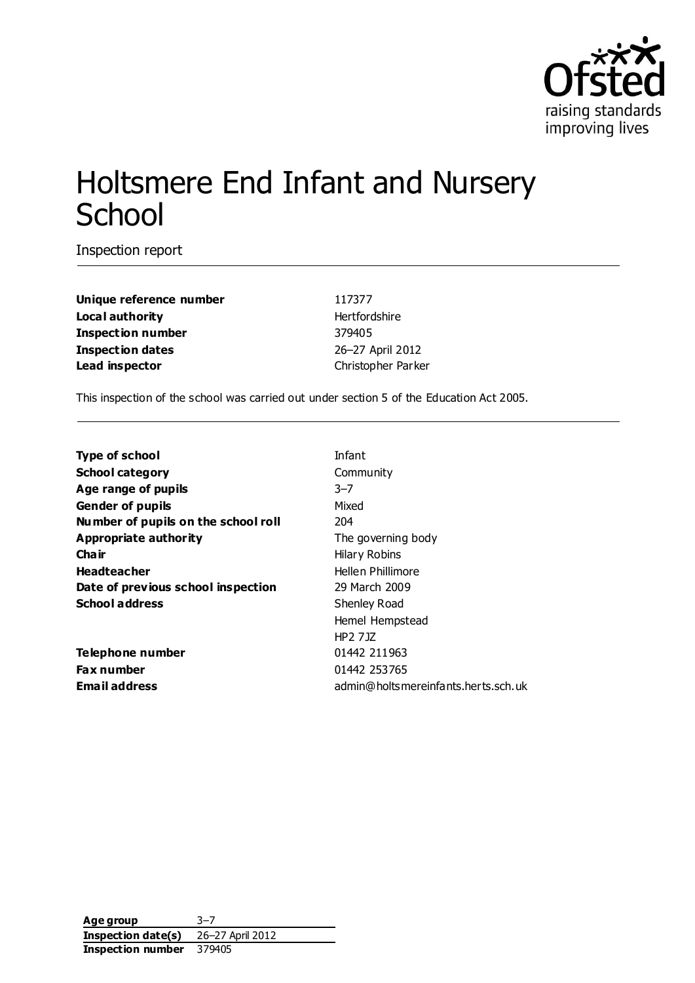

# Holtsmere End Infant and Nursery **School**

Inspection report

**Unique reference number** 117377 **Local authority Hertfordshire Inspection number** 379405 **Inspection dates** 26–27 April 2012 **Lead inspector Christopher Parker** 

This inspection of the school was carried out under section 5 of the Education Act 2005.

| <b>Type of school</b>               | Infant                              |
|-------------------------------------|-------------------------------------|
| <b>School category</b>              | Community                           |
| Age range of pupils                 | $3 - 7$                             |
| <b>Gender of pupils</b>             | Mixed                               |
| Number of pupils on the school roll | 204                                 |
| Appropriate authority               | The governing body                  |
| Cha ir                              | <b>Hilary Robins</b>                |
| <b>Headteacher</b>                  | Hellen Phillimore                   |
| Date of previous school inspection  | 29 March 2009                       |
| <b>School address</b>               | Shenley Road                        |
|                                     | Hemel Hempstead                     |
|                                     | HP2 7JZ                             |
| Telephone number                    | 01442 211963                        |
| <b>Fax number</b>                   | 01442 253765                        |
| <b>Email address</b>                | admin@holtsmereinfants.herts.sch.uk |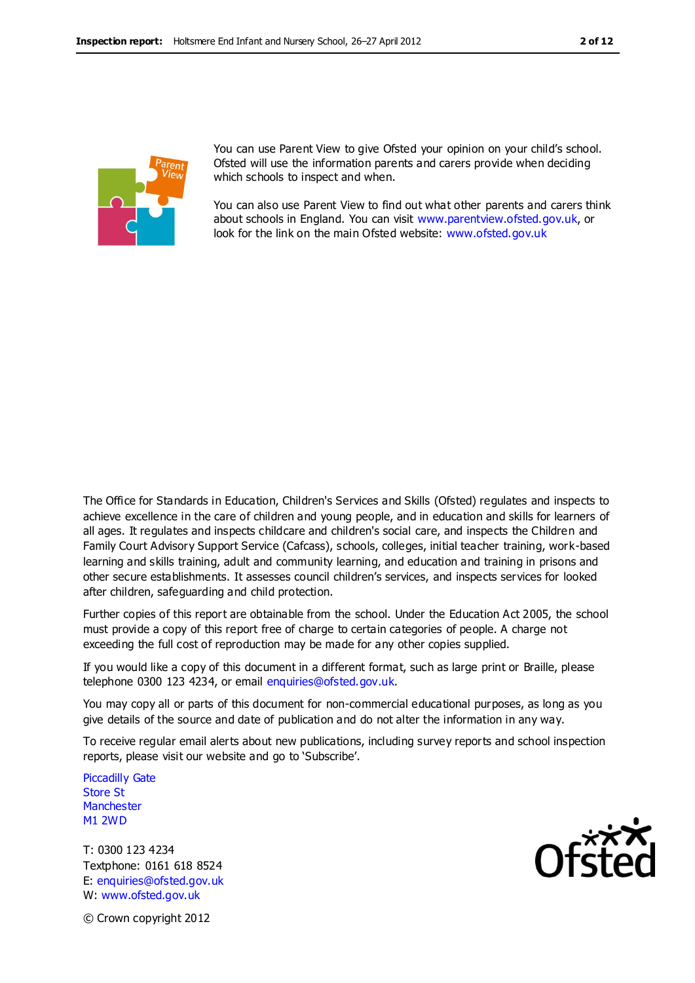

You can use Parent View to give Ofsted your opinion on your child's school. Ofsted will use the information parents and carers provide when deciding which schools to inspect and when.

You can also use Parent View to find out what other parents and carers think about schools in England. You can visit [www.parentview.ofsted.gov.uk,](http://www.parentview.ofsted.gov.uk/) or look for the link on the main Ofsted website: [www.ofsted.gov.uk](http://www.ofsted.gov.uk/)

The Office for Standards in Education, Children's Services and Skills (Ofsted) regulates and inspects to achieve excellence in the care of children and young people, and in education and skills for learners of all ages. It regulates and inspects childcare and children's social care, and inspects the Children and Family Court Advisory Support Service (Cafcass), schools, colleges, initial teacher training, work-based learning and skills training, adult and community learning, and education and training in prisons and other secure establishments. It assesses council children's services, and inspects services for looked after children, safeguarding and child protection.

Further copies of this report are obtainable from the school. Under the Education Act 2005, the school must provide a copy of this report free of charge to certain categories of people. A charge not exceeding the full cost of reproduction may be made for any other copies supplied.

If you would like a copy of this document in a different format, such as large print or Braille, please telephone 0300 123 4234, or email enquiries@ofsted.gov.uk.

You may copy all or parts of this document for non-commercial educational purposes, as long as you give details of the source and date of publication and do not alter the information in any way.

To receive regular email alerts about new publications, including survey reports and school inspection reports, please visit our website and go to 'Subscribe'.

Piccadilly Gate Store St **Manchester** M1 2WD

T: 0300 123 4234 Textphone: 0161 618 8524 E: enquiries@ofsted.gov.uk W: www.ofsted.gov.uk



© Crown copyright 2012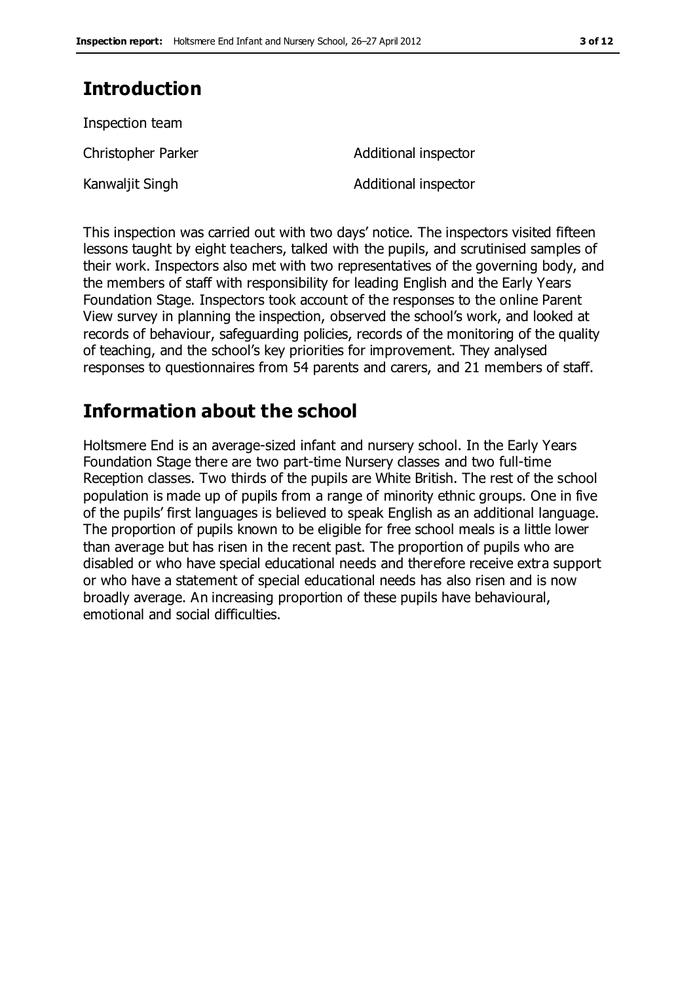## **Introduction**

| Inspection team    |                      |
|--------------------|----------------------|
| Christopher Parker | Additional inspector |
| Kanwaljit Singh    | Additional inspector |

This inspection was carried out with two days' notice. The inspectors visited fifteen lessons taught by eight teachers, talked with the pupils, and scrutinised samples of their work. Inspectors also met with two representatives of the governing body, and the members of staff with responsibility for leading English and the Early Years Foundation Stage. Inspectors took account of the responses to the online Parent View survey in planning the inspection, observed the school's work, and looked at records of behaviour, safeguarding policies, records of the monitoring of the quality of teaching, and the school's key priorities for improvement. They analysed responses to questionnaires from 54 parents and carers, and 21 members of staff.

## **Information about the school**

Holtsmere End is an average-sized infant and nursery school. In the Early Years Foundation Stage there are two part-time Nursery classes and two full-time Reception classes. Two thirds of the pupils are White British. The rest of the school population is made up of pupils from a range of minority ethnic groups. One in five of the pupils' first languages is believed to speak English as an additional language. The proportion of pupils known to be eligible for free school meals is a little lower than average but has risen in the recent past. The proportion of pupils who are disabled or who have special educational needs and therefore receive extra support or who have a statement of special educational needs has also risen and is now broadly average. An increasing proportion of these pupils have behavioural, emotional and social difficulties.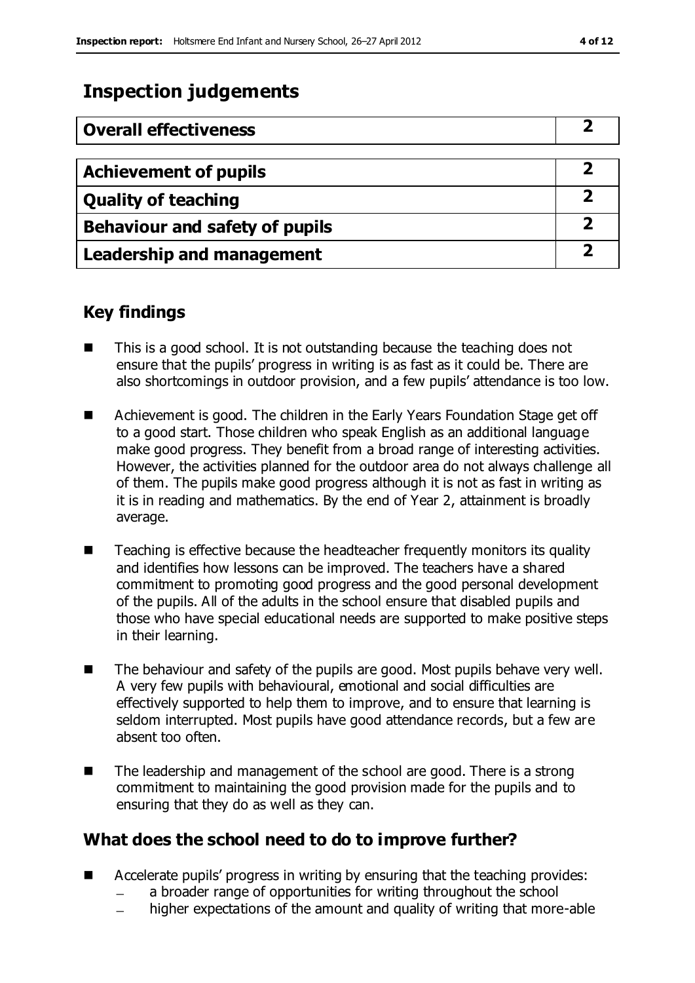## **Inspection judgements**

| <b>Overall effectiveness</b>          |   |
|---------------------------------------|---|
| <b>Achievement of pupils</b>          |   |
| <b>Quality of teaching</b>            |   |
| <b>Behaviour and safety of pupils</b> | 2 |
| <b>Leadership and management</b>      |   |

## **Key findings**

- This is a good school. It is not outstanding because the teaching does not ensure that the pupils' progress in writing is as fast as it could be. There are also shortcomings in outdoor provision, and a few pupils' attendance is too low.
- Achievement is good. The children in the Early Years Foundation Stage get off to a good start. Those children who speak English as an additional language make good progress. They benefit from a broad range of interesting activities. However, the activities planned for the outdoor area do not always challenge all of them. The pupils make good progress although it is not as fast in writing as it is in reading and mathematics. By the end of Year 2, attainment is broadly average.
- Teaching is effective because the headteacher frequently monitors its quality and identifies how lessons can be improved. The teachers have a shared commitment to promoting good progress and the good personal development of the pupils. All of the adults in the school ensure that disabled pupils and those who have special educational needs are supported to make positive steps in their learning.
- $\blacksquare$  The behaviour and safety of the pupils are good. Most pupils behave very well. A very few pupils with behavioural, emotional and social difficulties are effectively supported to help them to improve, and to ensure that learning is seldom interrupted. Most pupils have good attendance records, but a few are absent too often.
- The leadership and management of the school are good. There is a strong commitment to maintaining the good provision made for the pupils and to ensuring that they do as well as they can.

## **What does the school need to do to improve further?**

- Accelerate pupils' progress in writing by ensuring that the teaching provides:
	- a broader range of opportunities for writing throughout the school
	- higher expectations of the amount and quality of writing that more-able  $\equiv$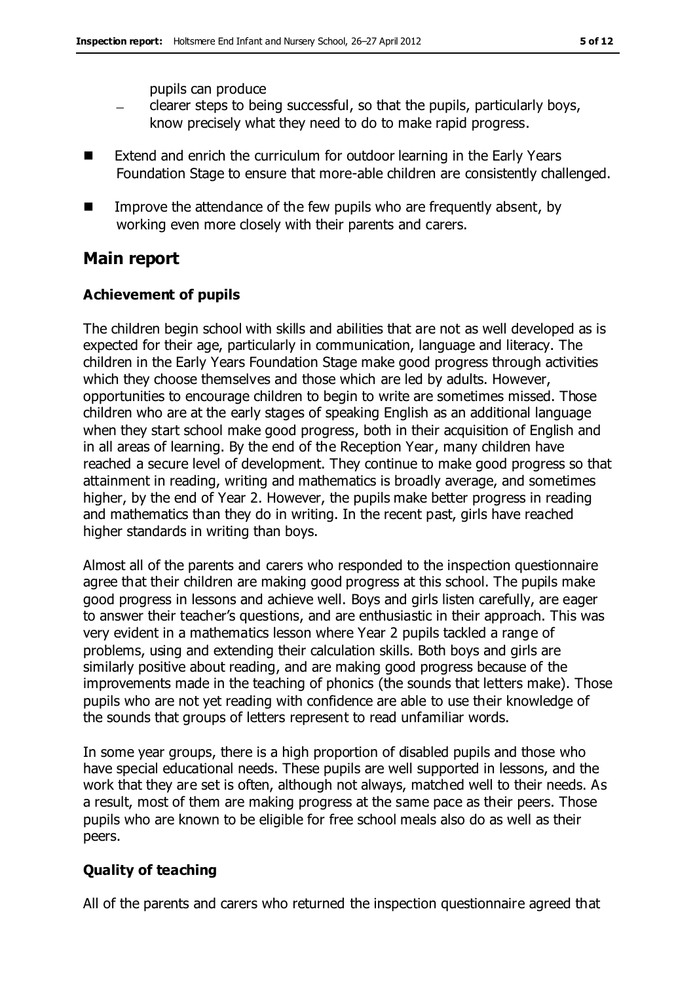pupils can produce

- clearer steps to being successful, so that the pupils, particularly boys,  $\equiv$ know precisely what they need to do to make rapid progress.
- Extend and enrich the curriculum for outdoor learning in the Early Years Foundation Stage to ensure that more-able children are consistently challenged.
- Improve the attendance of the few pupils who are frequently absent, by working even more closely with their parents and carers.

#### **Main report**

#### **Achievement of pupils**

The children begin school with skills and abilities that are not as well developed as is expected for their age, particularly in communication, language and literacy. The children in the Early Years Foundation Stage make good progress through activities which they choose themselves and those which are led by adults. However, opportunities to encourage children to begin to write are sometimes missed. Those children who are at the early stages of speaking English as an additional language when they start school make good progress, both in their acquisition of English and in all areas of learning. By the end of the Reception Year, many children have reached a secure level of development. They continue to make good progress so that attainment in reading, writing and mathematics is broadly average, and sometimes higher, by the end of Year 2. However, the pupils make better progress in reading and mathematics than they do in writing. In the recent past, girls have reached higher standards in writing than boys.

Almost all of the parents and carers who responded to the inspection questionnaire agree that their children are making good progress at this school. The pupils make good progress in lessons and achieve well. Boys and girls listen carefully, are eager to answer their teacher's questions, and are enthusiastic in their approach. This was very evident in a mathematics lesson where Year 2 pupils tackled a range of problems, using and extending their calculation skills. Both boys and girls are similarly positive about reading, and are making good progress because of the improvements made in the teaching of phonics (the sounds that letters make). Those pupils who are not yet reading with confidence are able to use their knowledge of the sounds that groups of letters represent to read unfamiliar words.

In some year groups, there is a high proportion of disabled pupils and those who have special educational needs. These pupils are well supported in lessons, and the work that they are set is often, although not always, matched well to their needs. As a result, most of them are making progress at the same pace as their peers. Those pupils who are known to be eligible for free school meals also do as well as their peers.

#### **Quality of teaching**

All of the parents and carers who returned the inspection questionnaire agreed that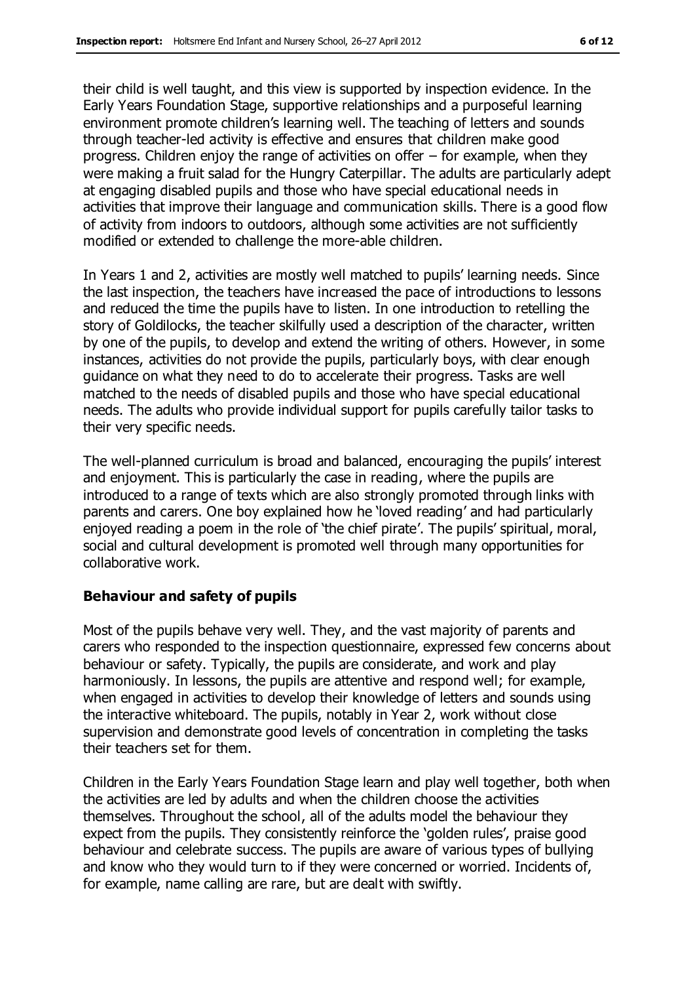their child is well taught, and this view is supported by inspection evidence. In the Early Years Foundation Stage, supportive relationships and a purposeful learning environment promote children's learning well. The teaching of letters and sounds through teacher-led activity is effective and ensures that children make good progress. Children enjoy the range of activities on offer – for example, when they were making a fruit salad for the Hungry Caterpillar. The adults are particularly adept at engaging disabled pupils and those who have special educational needs in activities that improve their language and communication skills. There is a good flow of activity from indoors to outdoors, although some activities are not sufficiently modified or extended to challenge the more-able children.

In Years 1 and 2, activities are mostly well matched to pupils' learning needs. Since the last inspection, the teachers have increased the pace of introductions to lessons and reduced the time the pupils have to listen. In one introduction to retelling the story of Goldilocks, the teacher skilfully used a description of the character, written by one of the pupils, to develop and extend the writing of others. However, in some instances, activities do not provide the pupils, particularly boys, with clear enough guidance on what they need to do to accelerate their progress. Tasks are well matched to the needs of disabled pupils and those who have special educational needs. The adults who provide individual support for pupils carefully tailor tasks to their very specific needs.

The well-planned curriculum is broad and balanced, encouraging the pupils' interest and enjoyment. This is particularly the case in reading, where the pupils are introduced to a range of texts which are also strongly promoted through links with parents and carers. One boy explained how he 'loved reading' and had particularly enjoyed reading a poem in the role of 'the chief pirate'. The pupils' spiritual, moral, social and cultural development is promoted well through many opportunities for collaborative work.

#### **Behaviour and safety of pupils**

Most of the pupils behave very well. They, and the vast majority of parents and carers who responded to the inspection questionnaire, expressed few concerns about behaviour or safety. Typically, the pupils are considerate, and work and play harmoniously. In lessons, the pupils are attentive and respond well; for example, when engaged in activities to develop their knowledge of letters and sounds using the interactive whiteboard. The pupils, notably in Year 2, work without close supervision and demonstrate good levels of concentration in completing the tasks their teachers set for them.

Children in the Early Years Foundation Stage learn and play well together, both when the activities are led by adults and when the children choose the activities themselves. Throughout the school, all of the adults model the behaviour they expect from the pupils. They consistently reinforce the 'golden rules', praise good behaviour and celebrate success. The pupils are aware of various types of bullying and know who they would turn to if they were concerned or worried. Incidents of, for example, name calling are rare, but are dealt with swiftly.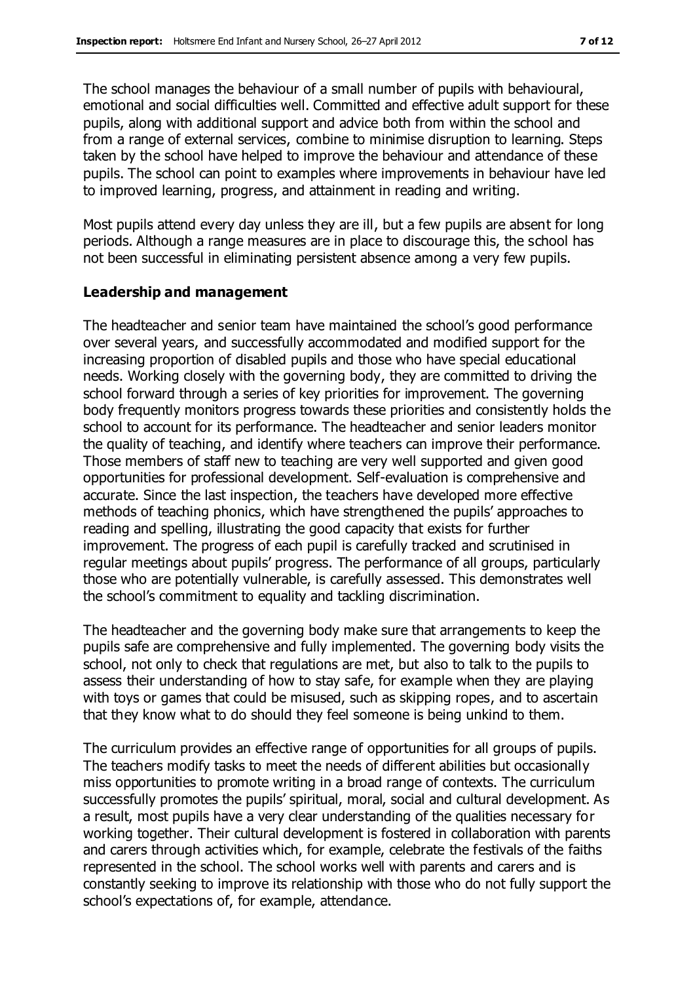The school manages the behaviour of a small number of pupils with behavioural, emotional and social difficulties well. Committed and effective adult support for these pupils, along with additional support and advice both from within the school and from a range of external services, combine to minimise disruption to learning. Steps taken by the school have helped to improve the behaviour and attendance of these pupils. The school can point to examples where improvements in behaviour have led to improved learning, progress, and attainment in reading and writing.

Most pupils attend every day unless they are ill, but a few pupils are absent for long periods. Although a range measures are in place to discourage this, the school has not been successful in eliminating persistent absence among a very few pupils.

#### **Leadership and management**

The headteacher and senior team have maintained the school's good performance over several years, and successfully accommodated and modified support for the increasing proportion of disabled pupils and those who have special educational needs. Working closely with the governing body, they are committed to driving the school forward through a series of key priorities for improvement. The governing body frequently monitors progress towards these priorities and consistently holds the school to account for its performance. The headteacher and senior leaders monitor the quality of teaching, and identify where teachers can improve their performance. Those members of staff new to teaching are very well supported and given good opportunities for professional development. Self-evaluation is comprehensive and accurate. Since the last inspection, the teachers have developed more effective methods of teaching phonics, which have strengthened the pupils' approaches to reading and spelling, illustrating the good capacity that exists for further improvement. The progress of each pupil is carefully tracked and scrutinised in regular meetings about pupils' progress. The performance of all groups, particularly those who are potentially vulnerable, is carefully assessed. This demonstrates well the school's commitment to equality and tackling discrimination.

The headteacher and the governing body make sure that arrangements to keep the pupils safe are comprehensive and fully implemented. The governing body visits the school, not only to check that regulations are met, but also to talk to the pupils to assess their understanding of how to stay safe, for example when they are playing with toys or games that could be misused, such as skipping ropes, and to ascertain that they know what to do should they feel someone is being unkind to them.

The curriculum provides an effective range of opportunities for all groups of pupils. The teachers modify tasks to meet the needs of different abilities but occasionally miss opportunities to promote writing in a broad range of contexts. The curriculum successfully promotes the pupils' spiritual, moral, social and cultural development. As a result, most pupils have a very clear understanding of the qualities necessary for working together. Their cultural development is fostered in collaboration with parents and carers through activities which, for example, celebrate the festivals of the faiths represented in the school. The school works well with parents and carers and is constantly seeking to improve its relationship with those who do not fully support the school's expectations of, for example, attendance.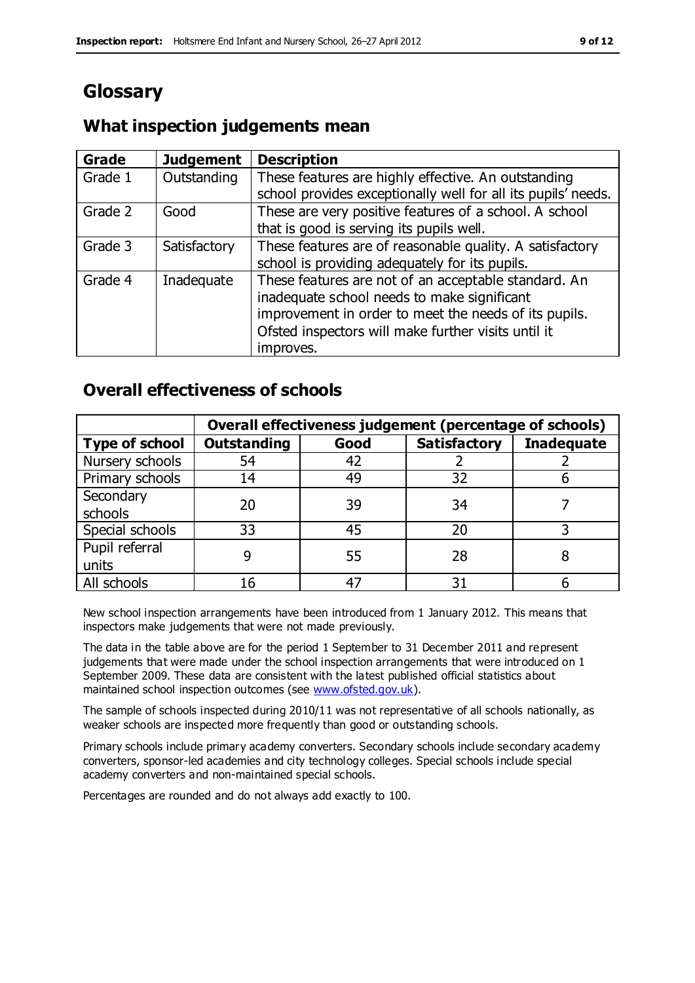# **Glossary**

## **What inspection judgements mean**

| Grade   | <b>Judgement</b> | <b>Description</b>                                                                                                                                                                                                               |
|---------|------------------|----------------------------------------------------------------------------------------------------------------------------------------------------------------------------------------------------------------------------------|
| Grade 1 | Outstanding      | These features are highly effective. An outstanding<br>school provides exceptionally well for all its pupils' needs.                                                                                                             |
| Grade 2 | Good             | These are very positive features of a school. A school<br>that is good is serving its pupils well.                                                                                                                               |
| Grade 3 | Satisfactory     | These features are of reasonable quality. A satisfactory<br>school is providing adequately for its pupils.                                                                                                                       |
| Grade 4 | Inadequate       | These features are not of an acceptable standard. An<br>inadequate school needs to make significant<br>improvement in order to meet the needs of its pupils.<br>Ofsted inspectors will make further visits until it<br>improves. |

## **Overall effectiveness of schools**

|                       | Overall effectiveness judgement (percentage of schools) |      |                     |                   |
|-----------------------|---------------------------------------------------------|------|---------------------|-------------------|
| <b>Type of school</b> | <b>Outstanding</b>                                      | Good | <b>Satisfactory</b> | <b>Inadequate</b> |
| Nursery schools       | 54                                                      | 42   |                     |                   |
| Primary schools       | 14                                                      | 49   | 32                  |                   |
| Secondary             | 20                                                      | 39   | 34                  |                   |
| schools               |                                                         |      |                     |                   |
| Special schools       | 33                                                      | 45   | 20                  |                   |
| Pupil referral        |                                                         | 55   | 28                  |                   |
| units                 |                                                         |      |                     |                   |
| All schools           | 16                                                      | 47   | 31                  |                   |

New school inspection arrangements have been introduced from 1 January 2012. This means that inspectors make judgements that were not made previously.

The data in the table above are for the period 1 September to 31 December 2011 and represent judgements that were made under the school inspection arrangements that were introduced on 1 September 2009. These data are consistent with the latest published official statistics about maintained school inspection outcomes (see [www.ofsted.gov.uk\)](http://www.ofsted.gov.uk/).

The sample of schools inspected during 2010/11 was not representative of all schools nationally, as weaker schools are inspected more frequently than good or outstanding schools.

Primary schools include primary academy converters. Secondary schools include secondary academy converters, sponsor-led academies and city technology colleges. Special schools include special academy converters and non-maintained special schools.

Percentages are rounded and do not always add exactly to 100.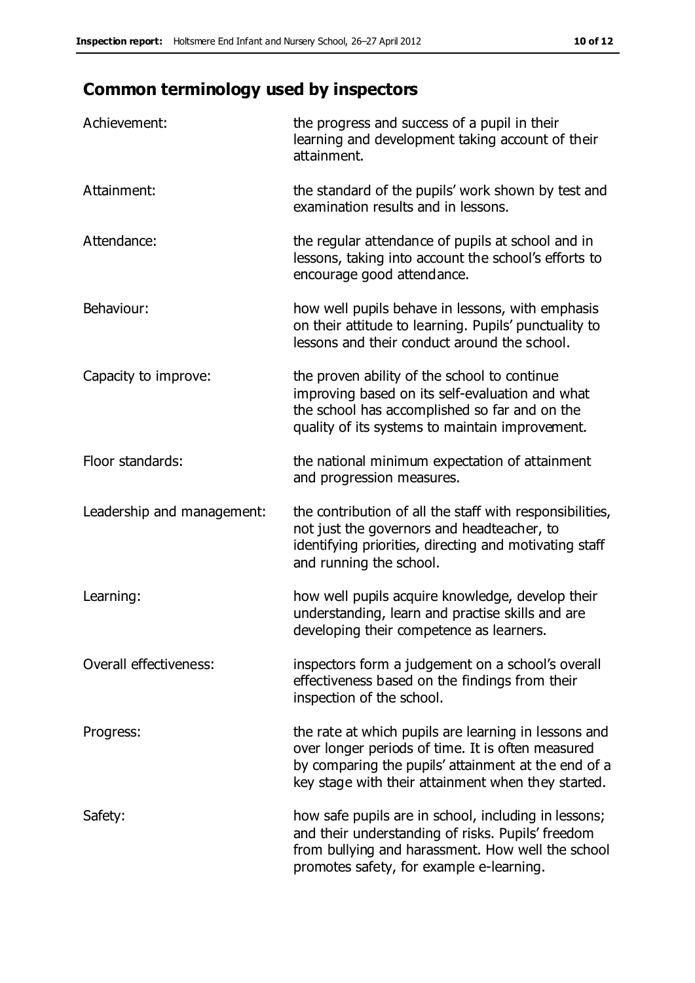# **Common terminology used by inspectors**

| Achievement:               | the progress and success of a pupil in their<br>learning and development taking account of their<br>attainment.                                                                                                        |
|----------------------------|------------------------------------------------------------------------------------------------------------------------------------------------------------------------------------------------------------------------|
| Attainment:                | the standard of the pupils' work shown by test and<br>examination results and in lessons.                                                                                                                              |
| Attendance:                | the regular attendance of pupils at school and in<br>lessons, taking into account the school's efforts to<br>encourage good attendance.                                                                                |
| Behaviour:                 | how well pupils behave in lessons, with emphasis<br>on their attitude to learning. Pupils' punctuality to<br>lessons and their conduct around the school.                                                              |
| Capacity to improve:       | the proven ability of the school to continue<br>improving based on its self-evaluation and what<br>the school has accomplished so far and on the<br>quality of its systems to maintain improvement.                    |
| Floor standards:           | the national minimum expectation of attainment<br>and progression measures.                                                                                                                                            |
| Leadership and management: | the contribution of all the staff with responsibilities,<br>not just the governors and headteacher, to<br>identifying priorities, directing and motivating staff<br>and running the school.                            |
| Learning:                  | how well pupils acquire knowledge, develop their<br>understanding, learn and practise skills and are<br>developing their competence as learners.                                                                       |
| Overall effectiveness:     | inspectors form a judgement on a school's overall<br>effectiveness based on the findings from their<br>inspection of the school.                                                                                       |
| Progress:                  | the rate at which pupils are learning in lessons and<br>over longer periods of time. It is often measured<br>by comparing the pupils' attainment at the end of a<br>key stage with their attainment when they started. |
| Safety:                    | how safe pupils are in school, including in lessons;<br>and their understanding of risks. Pupils' freedom<br>from bullying and harassment. How well the school<br>promotes safety, for example e-learning.             |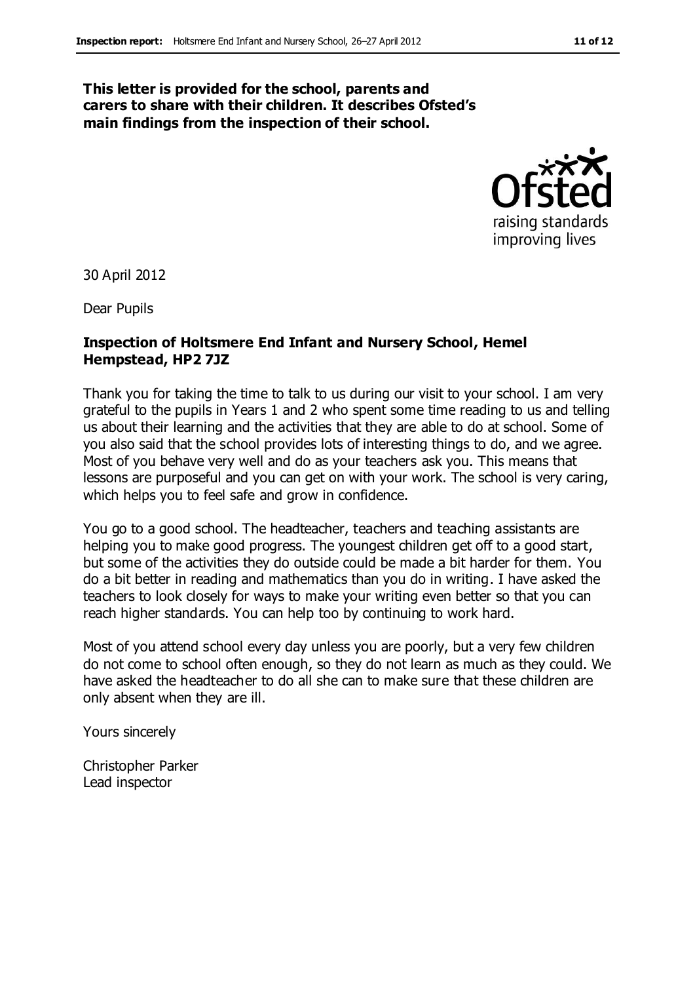#### **This letter is provided for the school, parents and carers to share with their children. It describes Ofsted's main findings from the inspection of their school.**



30 April 2012

Dear Pupils

#### **Inspection of Holtsmere End Infant and Nursery School, Hemel Hempstead, HP2 7JZ**

Thank you for taking the time to talk to us during our visit to your school. I am very grateful to the pupils in Years 1 and 2 who spent some time reading to us and telling us about their learning and the activities that they are able to do at school. Some of you also said that the school provides lots of interesting things to do, and we agree. Most of you behave very well and do as your teachers ask you. This means that lessons are purposeful and you can get on with your work. The school is very caring, which helps you to feel safe and grow in confidence.

You go to a good school. The headteacher, teachers and teaching assistants are helping you to make good progress. The youngest children get off to a good start, but some of the activities they do outside could be made a bit harder for them. You do a bit better in reading and mathematics than you do in writing. I have asked the teachers to look closely for ways to make your writing even better so that you can reach higher standards. You can help too by continuing to work hard.

Most of you attend school every day unless you are poorly, but a very few children do not come to school often enough, so they do not learn as much as they could. We have asked the headteacher to do all she can to make sure that these children are only absent when they are ill.

Yours sincerely

Christopher Parker Lead inspector